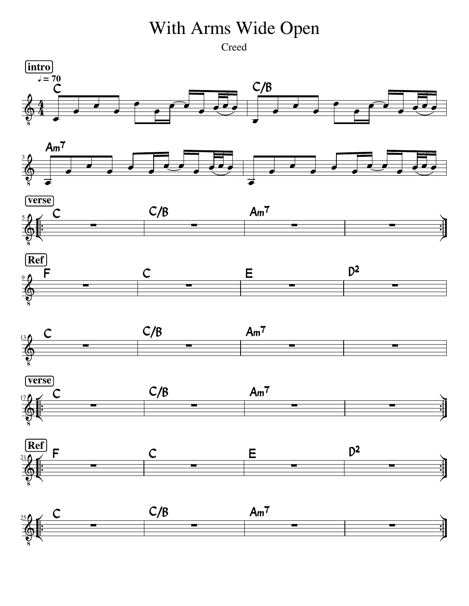## With Arms Wide Open

Creed